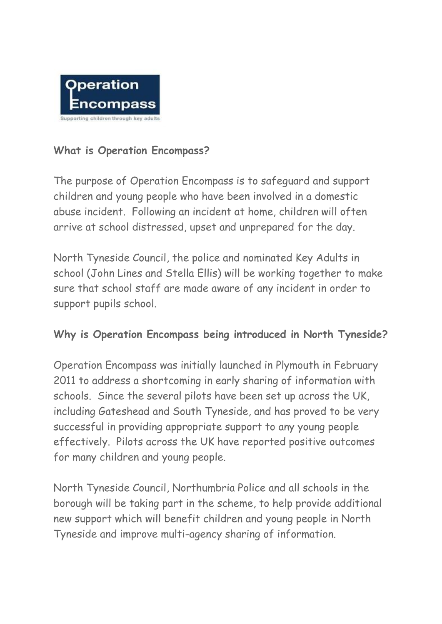

## **What is Operation Encompass?**

The purpose of Operation Encompass is to safeguard and support children and young people who have been involved in a domestic abuse incident. Following an incident at home, children will often arrive at school distressed, upset and unprepared for the day.

North Tyneside Council, the police and nominated Key Adults in school (John Lines and Stella Ellis) will be working together to make sure that school staff are made aware of any incident in order to support pupils school.

## **Why is Operation Encompass being introduced in North Tyneside?**

Operation Encompass was initially launched in Plymouth in February 2011 to address a shortcoming in early sharing of information with schools. Since the several pilots have been set up across the UK, including Gateshead and South Tyneside, and has proved to be very successful in providing appropriate support to any young people effectively. Pilots across the UK have reported positive outcomes for many children and young people.

North Tyneside Council, Northumbria Police and all schools in the borough will be taking part in the scheme, to help provide additional new support which will benefit children and young people in North Tyneside and improve multi-agency sharing of information.